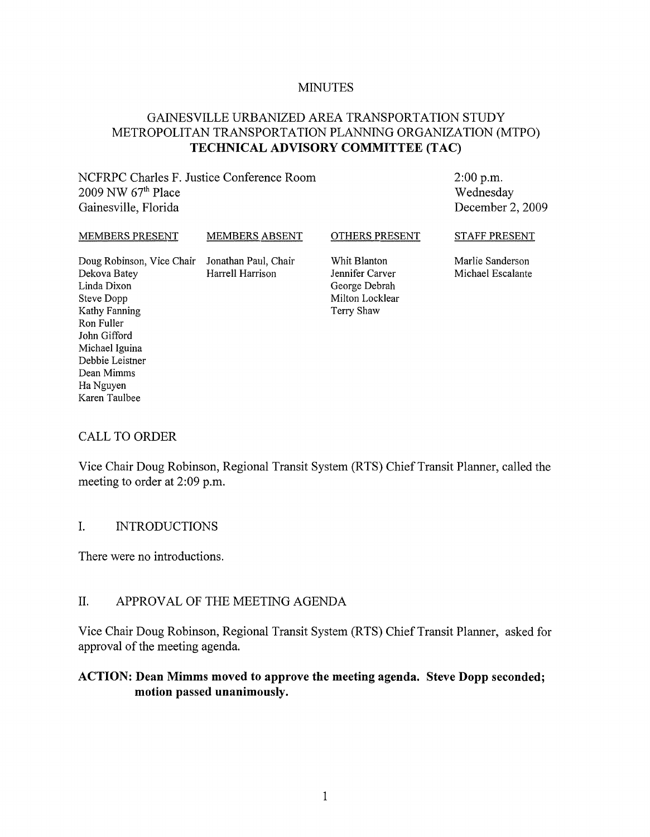#### MINUTES

### GAINESVILLE URBANIZED AREA TRANSPORTATION STUDY METROPOLITAN TRANSPORTATION PLANNING ORGANIZATION (MTPO) **TECHNICAL ADVISORY COMMITTEE (TAC)**

NCFRPC Charles F. Justice Conference Room  $2009$  NW  $67<sup>th</sup>$  Place Gainesville, Florida

2:00 p.m. Wednesday December 2, 2009

| MEMBERS PRESENT                                | <b>MEMBERS ABSENT</b> | OTHERS PRESENT  | <b>STAFF PRESENT</b> |
|------------------------------------------------|-----------------------|-----------------|----------------------|
| Doug Robinson, Vice Chair Jonathan Paul, Chair |                       | Whit Blanton    | Marlie Sanderson     |
| Dekova Batey                                   | Harrell Harrison      | Jennifer Carver | Michael Escalante    |
| Linda Dixon                                    |                       | George Debrah   |                      |
| Steve Dopp                                     |                       | Milton Locklear |                      |

Terry Shaw

#### CALL TO ORDER

Kathy Fanning Ron Fuller John Gifford Michael Iguina Debbie Leistner Dean Mimms Ha Nguyen Karen Taulbee

Vice Chair Doug Robinson, Regional Transit System (RTS) Chief Transit Planner, called the meeting to order at 2:09 p.m.

#### I. INTRODUCTIONS

There were no introductions.

#### II. APPROVAL OF THE MEETING AGENDA

Vice Chair Doug Robinson, Regional Transit System (RTS) Chief Transit Planner, asked for approval of the meeting agenda.

#### **ACTION: Dean Mimms moved to approve the meeting agenda. Steve Dopp seconded; motion passed unanimously.**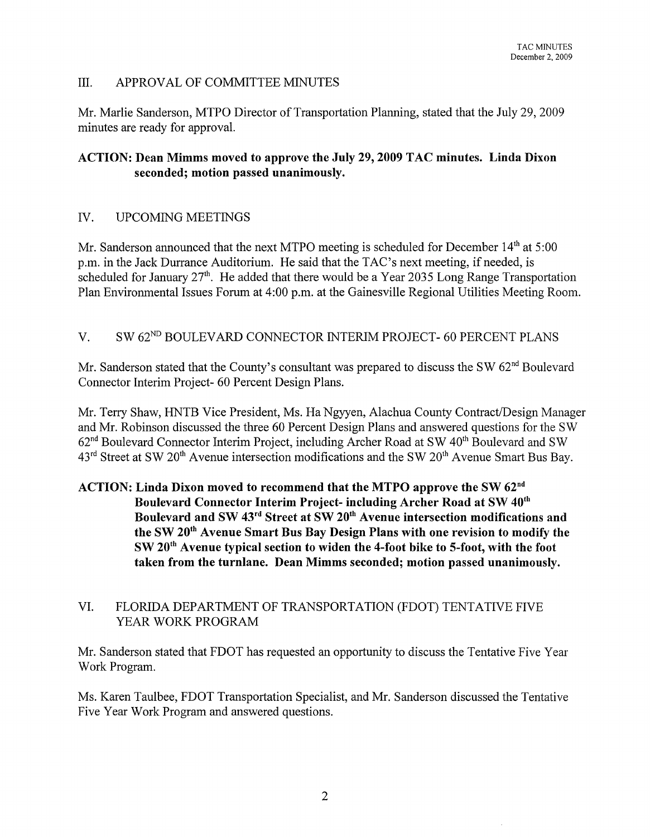#### III. APPROVAL OF COMMITTEE MINUTES

Mr. Marlie Sanderson, MTPO Director of Transportation Planning, stated that the July 29, 2009 minutes are ready for approval.

### ACTION: Dean Mimms moved to approve the July 29, 2009 TAC minutes. Linda Dixon seconded; motion passed unanimously.

### IV. UPCOMING MEETINGS

Mr. Sanderson announced that the next MTPO meeting is scheduled for December 14<sup>th</sup> at 5:00 p.m. in the Jack Durrance Auditorium. He said that the TAC's next meeting, if needed, is scheduled for January  $27<sup>th</sup>$ . He added that there would be a Year 2035 Long Range Transportation Plan Environmental Issues Forum at 4:00 p.m. at the Gainesville Regional Utilities Meeting Room.

### V. SW 62<sup>ND</sup> BOULEVARD CONNECTOR INTERIM PROJECT- 60 PERCENT PLANS

Mr. Sanderson stated that the County's consultant was prepared to discuss the SW 62<sup>nd</sup> Boulevard Connector Interim Project- 60 Percent Design Plans.

Mr. Terry Shaw, HNTB Vice President, Ms. Ha Ngyyen, Alachua County Contract/Design Manager and Mr. Robinson discussed the three 60 Percent Design Plans and answered questions for the SW  $62<sup>nd</sup>$  Boulevard Connector Interim Project, including Archer Road at SW  $40<sup>th</sup>$  Boulevard and SW 43<sup>rd</sup> Street at SW 20<sup>th</sup> Avenue intersection modifications and the SW 20<sup>th</sup> Avenue Smart Bus Bay.

### ACTION: Linda Dixon moved to recommend that the MTPO approve the SW  $62<sup>nd</sup>$ Boulevard Connector Interim Project- including Archer Road at SW 40<sup>th</sup> Boulevard and SW 43<sup>rd</sup> Street at SW 20<sup>th</sup> Avenue intersection modifications and the SW 20th Avenue Smart Bus Bay Design Plans with one revision to modify the SW 20th Avenue typical section to widen the 4-foot bike to 5-foot, with the foot taken from the turnlane. Dean Mimms seconded; motion passed unanimously.

### VI. FLORIDA DEPARTMENT OF TRANSPORTATION (FDOT) TENTATIVE FIVE YEAR WORK PROGRAM

Mr. Sanderson stated that FDOT has requested an opportunity to discuss the Tentative Five Year Work Program.

Ms. Karen Taulbee, FDOT Transportation Specialist, and Mr. Sanderson discussed the Tentative Five Year Work Program and answered questions.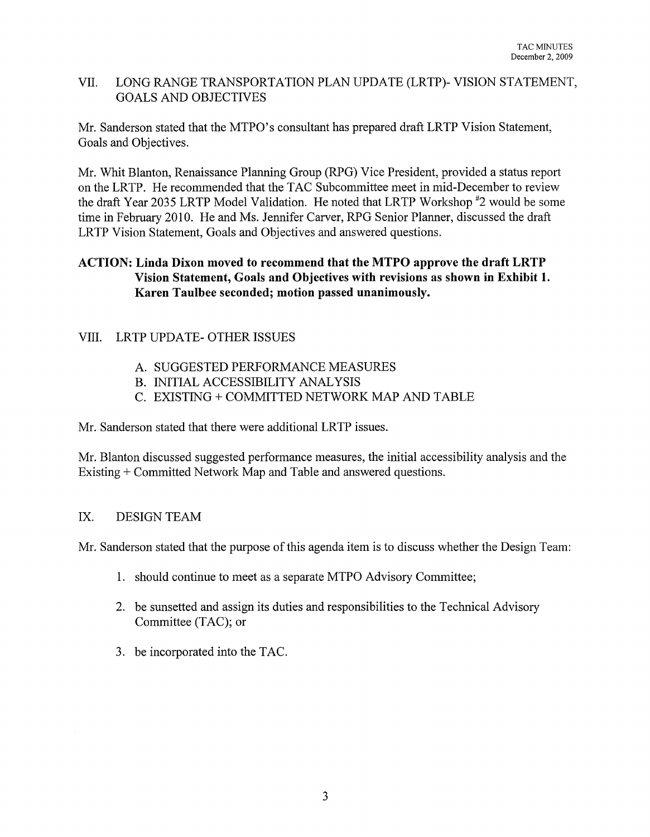### VII. LONG RANGE TRANSPORTATION PLAN UPDATE (LRTP)- VISION STATEMENT, GOALS AND OBJECTIVES

Mr. Sanderson stated that the MTPO's consultant has prepared draft LRTP Vision Statement, Goals and Objectives.

Mr. Whit Blanton, Renaissance Planning Group (RPG) Vice President, provided a status report on the LRTP. He recommended that the TAC Subcommittee meet in mid-December to review the draft Year 2035 LRTP Model Validation. He noted that LRTP Workshop #2 would be some time in February 2010. He and Ms. Jennifer Carver, RPG Senior Planner, discussed the draft LRTP Vision Statement, Goals and Objectives and answered questions.

### **ACTION: Linda Dixon moved to recommend that the MTPO approve the draft LRTP Vision Statement, Goals and Objectives with revisions as shown in Exhibit 1. Karen Taulbee seconded; motion passed unanimously.**

### VIII. LRTP UPDATE- OTHER ISSUES

- A. SUGGESTED PERFORMANCE MEASURES
- B. INITIAL ACCESSIBILITY ANALYSIS
- C. EXISTING + COMMITTED NETWORK MAP AND TABLE

Mr. Sanderson stated that there were additional LRTP issues.

Mr. Blanton discussed suggested performance measures, the initial accessibility analysis and the Existing + Committed Network Map and Table and answered questions.

### IX. DESIGN TEAM

Mr. Sanderson stated that the purpose of this agenda item is to discuss whether the Design Team:

- 1. should continue to meet as a separate MTPO Advisory Committee;
- 2. be sunsetted and assign its duties and responsibilities to the Technical Advisory Committee (TAC); or
- 3. be incorporated into the TAC.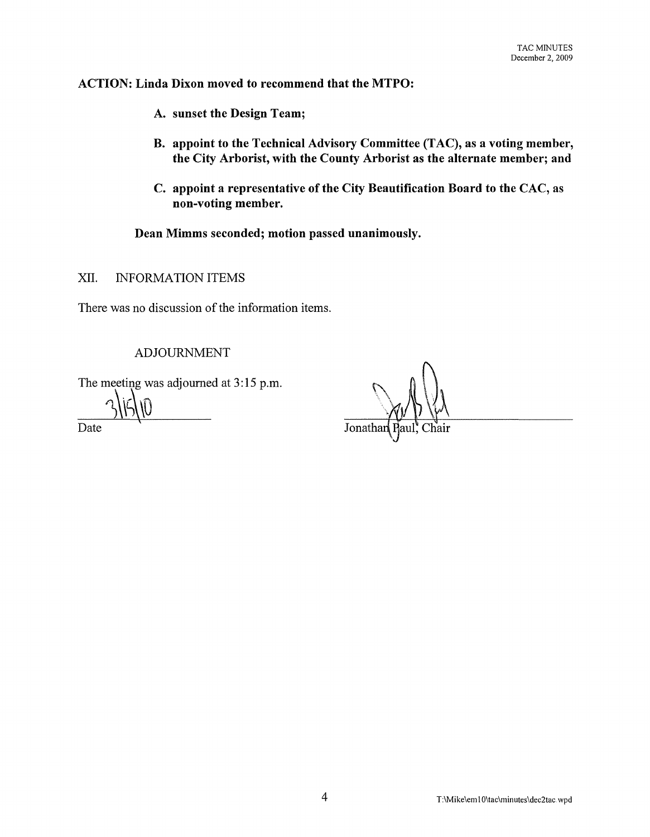### ACTION: Linda Dixon moved to recommend that the MTPO:

- A. sunset the Design Team;
- B. appoint to the Technical Advisory Committee (TAC), as a voting member, the City Arborist, with the County Arborist as the alternate member; and
- C. appoint a representative of the City Beautification Board to the CAC, as non-voting member.

Dean Mimms seconded; motion passed unanimously.

XII. INFORMATION ITEMS

There was no discussion of the information items.

ADJOURNMENT

The meeting was adjourned at  $3:15 \text{ p.m.}$ 

 $31510$   $\frac{1}{215}$ Date Jonatha and the Jonatha Second Second Second Second Second Second Second Second Second Second Second Second Second Second Second Second Second Second Second Second Second Second Second Second Second Second Second Seco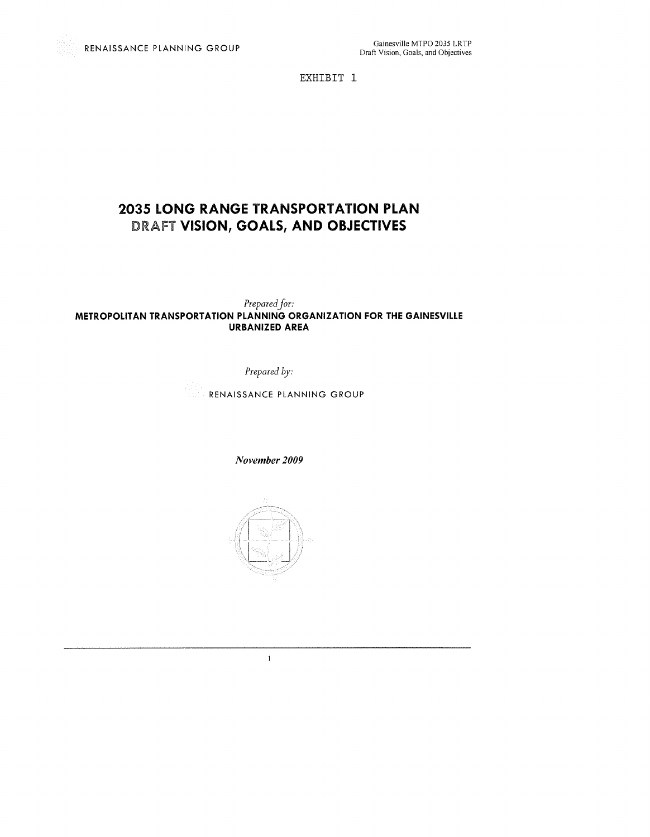EXHIBIT 1

## **2035 LONG RANGE TRANSPORTATION PLAN**  DRAFT **VISION, GOALS, AND OBJECTIVES**

*Prepared jor:* 

#### **METROPOLITAN TRANSPORTATION PLANNING ORGANIZATION FOR THE GAINESVILLE URBANIZED AREA**

*Prepared by:* 

RENAISSANCE PLANNING GROUP

*November 2009* 



 $\,1\,$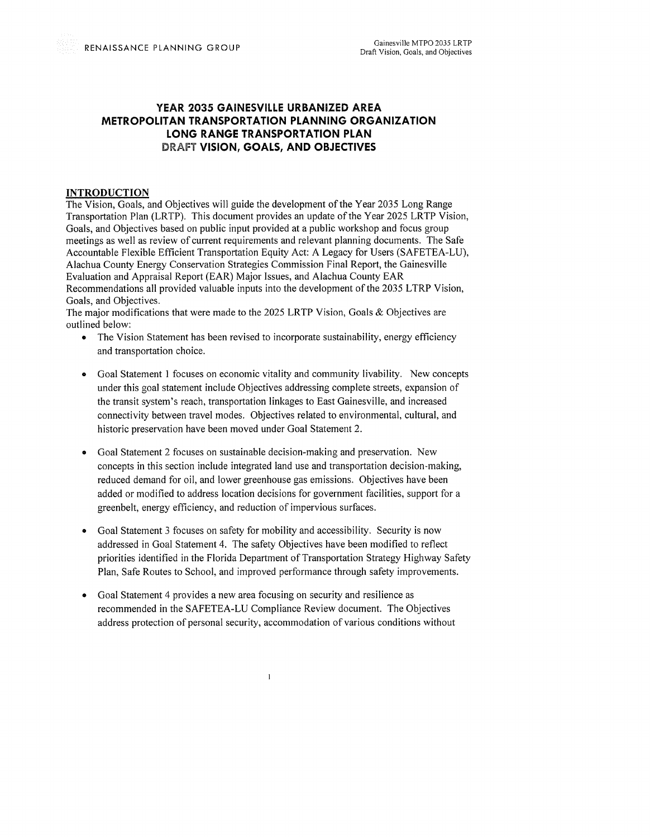#### **YEAR 2035 GAINESVILLE URBANIZED AREA METROPOLITAN TRANSPORTATION PLANNING ORGANIZATION LONG RANGE TRANSPORTATION PLAN**  DRAfT **VISION, GOALS, AND OBJECTIVES**

#### **INTRODUCTION**

The Vision, Goals, and Objectives will guide the development of the Year 2035 Long Range Transportation Plan (LRTP). This document provides an update of the Year 2025 LRTP Vision, Goals, and Objectives based on public input provided at a public workshop and focus group meetings as well as review of current requirements and relevant planning documents. The Safe Accountable Flexible Efficient Transportation Equity Act: A Legacy for Users (SAFETEA-LU), Alachua County Energy Conservation Strategies Commission Final Report, the Gainesville Evaluation and Appraisal Report (EAR) Major Issues, and Alachua County EAR Recommendations all provided valuable inputs into the development of the 2035 LTRP Vision, Goals, and Objectives.

The major modifications that were made to the 2025 LRTP Vision, Goals & Objectives are outlined below:

- The Vision Statement has been revised to incorporate sustainability, energy efficiency and transportation choice.
- Goal Statement 1 focuses on economic vitality and community livability. New concepts under this goal statement include Objectives addressing complete streets, expansion of the transit system's reach, transportation linkages to East Gainesville, and increased connectivity between travel modes. Objectives related to environmental, cultural, and historic preservation have been moved under Goal Statement 2.
- Goal Statement 2 focuses on sustainable decision-making and preservation. New concepts in this section include integrated land use and transportation decision-making, reduced demand for oil, and lower greenhouse gas emissions. Objectives have been added or modified to address location decisions for government facilities, support for a greenbelt, energy efficiency, and reduction of impervious surfaces.
- Goal Statement 3 focuses on safety for mobility and accessibility. Security is now addressed in Goal Statement 4. The safety Objectives have been modified to reflect priorities identified in the Florida Department of Transportation Strategy Highway Safety Plan, Safe Routes to School, and improved performance through safety improvements.
- Goal Statement 4 provides a new area focusing on security and resilience as recommended in the SAFETEA-LU Compliance Review document. The Objectives address protection of personal security, accommodation of various conditions without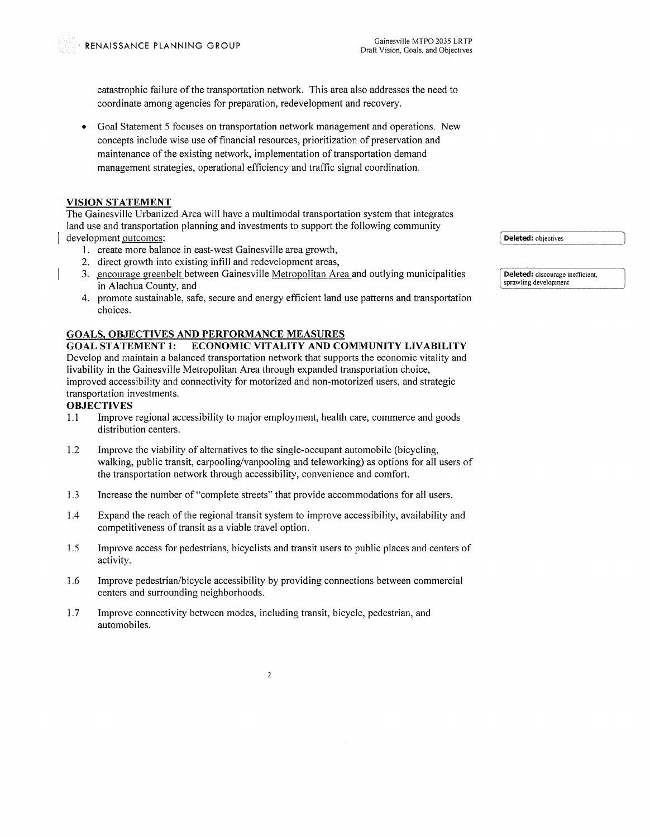catastrophic failure ofthe transportation network. This area also addresses the need to coordinate among agencies for preparation, redevelopment and recovery.

• Goal Statement 5 focuses on transportation network management and operations. New concepts include wise use of financial resources, prioritization of preservation and maintenance of the existing network, implementation of transportation demand management strategies, operational efficiency and traffic signal coordination.

#### **VISION STATEMENT**

The Gainesville Urbanized Area will have a multimodal transportation system that integrates land use and transportation planning and investments to support the following community development outcomes:

- 1. create more balance in east-west Gainesville area growth,
- 2. direct growth into existing infill and redevelopment areas,
- 3. encourage greenbelt between Gainesville Metropolitan Area and outlying municipalities in Alachua County, and
- 4. promote sustainable, safe, secure and energy efficient land use patterns and transportation choices.

#### **GOALS, OBJECTIVES AND PERFORMANCE MEASURES**

**GOAL STATEMENT 1: ECONOMIC VITALITY AND COMMUNITY LIVABILITY**  Develop and maintain a balanced transportation network that supports the economic vitality and livability in the Gainesville Metropolitan Area through expanded transportation choice, improved accessibility and connectivity for motorized and non-motorized users, and strategic transportation investments.

#### **OBJECTIVES**

- 1.1 Improve regional accessibility to major employment, health care, commerce and goods distribution centers.
- 1.2 Improve the viability of alternatives to the single-occupant automobile (bicycling, walking, public transit, carpooling/vanpooling and teleworking) as options for all users of the transportation network through accessibility, convenience and comfort.
- 1.3 Increase the number of "complete streets" that provide accommodations for all users.
- 1.4 Expand the reach of the regional transit system to improve accessibility, availability and competitiveness of transit as a viable travel option.
- 1.5 Improve access for pedestrians, bicyclists and transit users to public places and centers of activity.
- 1.6 Improve pedestrian/bicycle accessibility by providing connections between commercial centers and surrounding neighborhoods.

 $\overline{2}$ 

1.7 Improve connectivity between modes, including transit, bicycle, pedestrian, and automobiles.

Deleted: objectives

**Deleted:** discourage inefficient, **sprawling development**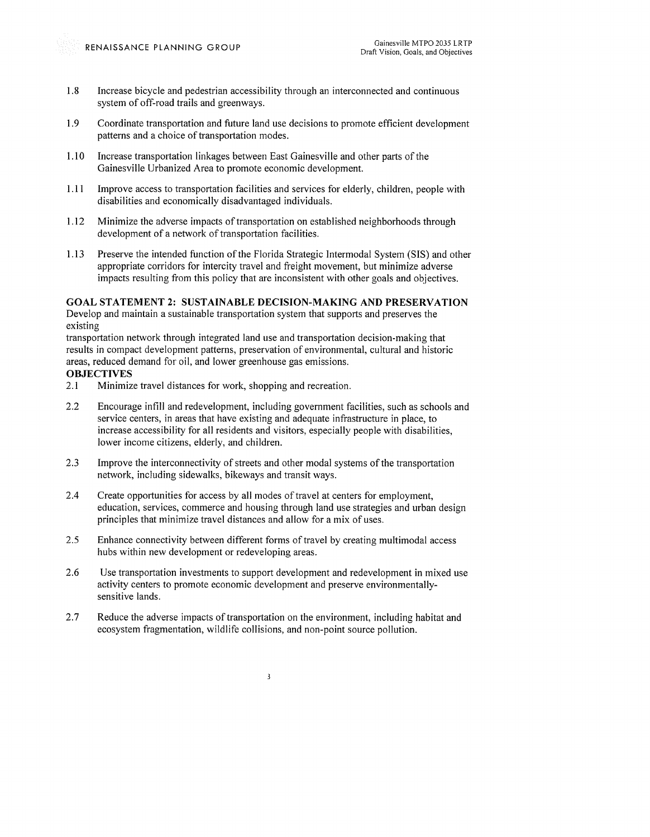- 1.8 Increase bicycle and pedestrian accessibility through an interconnected and continuous system of off-road trails and greenways.
- 1.9 Coordinate transportation and future land use decisions to promote efficient development patterns and a choice of transportation modes.
- 1.10 Increase transportation linkages between East Gainesville and other parts of the Gainesville Urbanized Area to promote economic development.
- 1.11 Improve access to transportation facilities and services for elderly, children, people with disabilities and economically disadvantaged individuals.
- 1.12 Minimize the adverse impacts of transportation on established neighborhoods through development of a network of transportation facilities.
- 1.13 Preserve the intended function of the Florida Strategic Intermodal System (SIS) and other appropriate corridors for intercity travel and freight movement, but minimize adverse impacts resulting from this policy that are inconsistent with other goals and objectives.

#### **GOAL STATEMENT 2: SUSTAINABLE DECISION-MAKING AND PRESERVATION**

Develop and maintain a sustainable transportation system that supports and preserves the existing

transportation network through integrated land use and transportation decision-making that results in compact development patterns, preservation of environmental, cultural and historic areas, reduced demand for oil, and lower greenhouse gas emissions.

#### **OBJECTIVES**

- 2.1 Minimize travel distances for work, shopping and recreation.
- 2.2 Encourage infill and redevelopment, including government facilities, such as schools and service centers, in areas that have existing and adequate infrastructure in place, to increase accessibility for all residents and visitors, especially people with disabilities, lower income citizens, elderly, and children.
- 2.3 Improve the interconnectivity of streets and other modal systems of the transportation network, including sidewalks, bikeways and transit ways.
- 2.4 Create opportunities for access by all modes of travel at centers for employment, education, services, commerce and housing through land use strategies and urban design principles that minimize travel distances and allow for a mix of uses.
- 2.5 Enhance connectivity between different forms of travel by creating multimodal access hubs within new development or redeveloping areas.
- 2.6 Use transportation investments to support development and redevelopment in mixed use activity centers to promote economic development and preserve environmentallysensitive lands.
- 2.7 Reduce the adverse impacts of transportation on the environment, including habitat and ecosystem fragmentation, wildlife collisions, and non-point source pollution.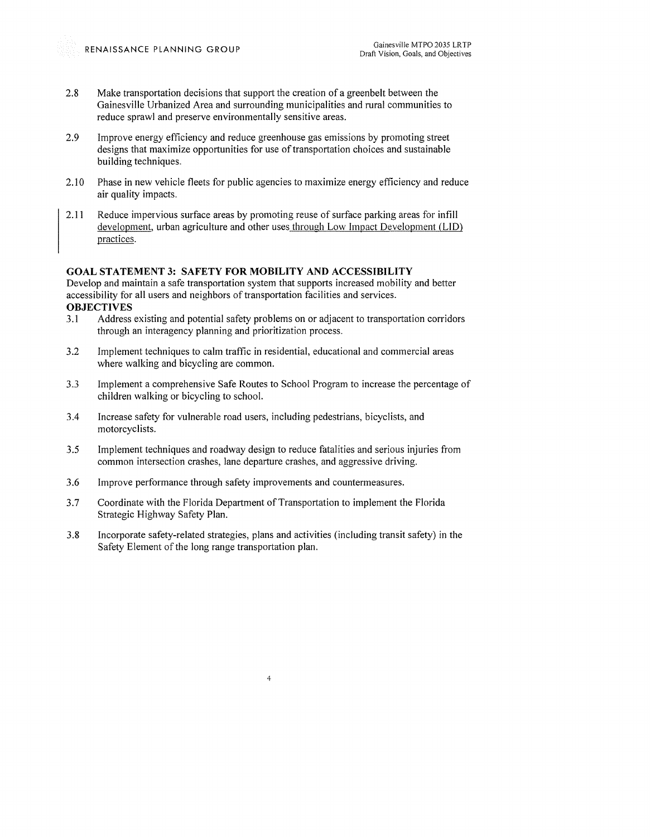- 2.8 Make transportation decisions that support the creation of a greenbelt between the Gainesville Urbanized Area and surrounding municipalities and rural communities to reduce sprawl and preserve environmentally sensitive areas.
- 2.9 Improve energy efficiency and reduce greenhouse gas emissions by promoting street designs that maximize opportunities for use of transportation choices and sustainable building techniques.
- 2.10 Phase in new vehicle fleets for public agencies to maximize energy efficiency and reduce air quality impacts.
- 2.11 Reduce impervious surface areas by promoting reuse of surface parking areas for infill development, urban agriculture and other uses through Low Impact Development (LID) practices.

#### **GOAL STATEMENT 3: SAFETY FOR MOBILITY AND ACCESSIBILITY**

Develop and maintain a safe transportation system that supports increased mobility and better accessibility for all users and neighbors of transportation facilities and services. **OBJECTIVES** 

- 3.1 Address existing and potential safety problems on or adjacent to transportation corridors through an interagency planning and prioritization process.
- 3.2 Implement techniques to calm traffic in residential, educational and commercial areas where walking and bicycling are common.
- 3.3 Implement a comprehensive Safe Routes to School Program to increase the percentage of children walking or bicycling to school.
- 3.4 Increase safety for vulnerable road users, including pedestrians, bicyclists, and motorcyclists.
- 3.5 Implement techniques and roadway design to reduce fatalities and serious injuries from common intersection crashes, lane departure crashes, and aggressive driving.
- 3.6 Improve performance through safety improvements and countermeasures.
- 3.7 Coordinate with the Florida Department of Transportation to implement the Florida Strategic Highway Safety Plan.
- 3.8 Incorporate safety-related strategies, plans and activities (including transit safety) in the Safety Element of the long range transportation plan.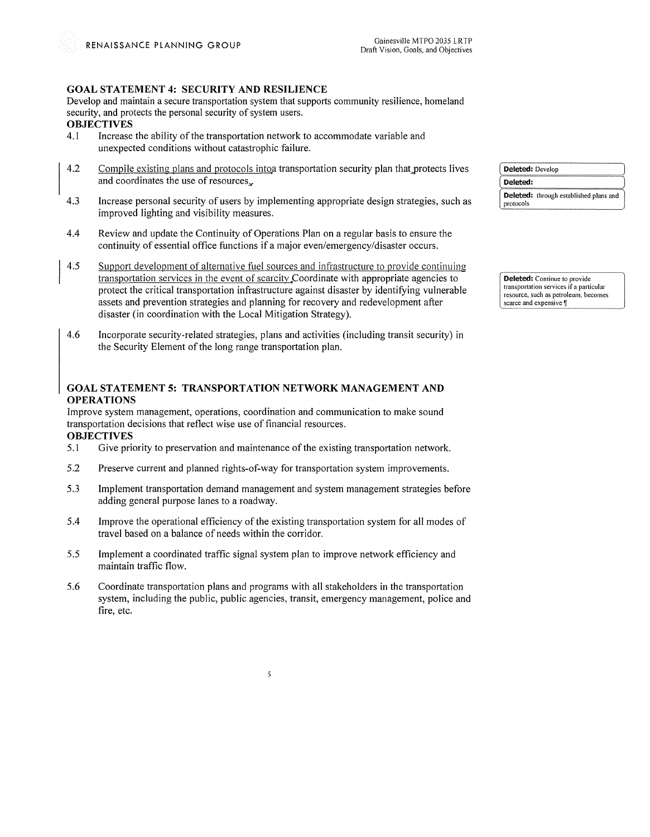#### **GOAL STATEMENT 4: SECURITY AND RESILIENCE**

Develop and maintain a secure transportation system that supports community resilience, homeland security, and protects the personal security of system users.

# **OBJECTIVES**<br>4.1 Increase

- Increase the ability of the transportation network to accommodate variable and unexpected conditions without catastrophic failure.
- 4.2 Compile existing plans and protocols into a transportation security plan that protects lives and coordinates the use of resources.
- 4.3 Increase personal security of users by implementing appropriate design strategies, such as improved lighting and visibility measures.
- 4.4 Review and update the Continuity of Operations Plan on a regular basis to ensure the continuity of essential office functions if a major even/emergency/disaster occurs.
- $4.5$ Support development of alternative fuel sources and infrastructure to provide continuing transportation services in the event of scarcity Coordinate with appropriate agencies to protect the critical transportation infrastructure against disaster by identifying vulnerable assets and prevention strategies and planning for recovery and redevelopment after disaster (in coordination with the Local Mitigation Strategy).
- 4.6 Incorporate security-related strategies, plans and activities (including transit security) in the Security Element of the long range transportation plan.

#### **GOAL STATEMENT 5: TRANSPORTATION NETWORK MANAGEMENT AND OPERATIONS**

Improve system management, operations, coordination and communication to make sound transportation decisions that reflect wise use of financial resources. **OBJECTIVES** 

- 5.1 Give priority to preservation and maintenance of the existing transportation network.
- 5.2 Preserve current and planned rights-of-way for transportation system improvements.
- 5 . .3 Implement transportation demand management and system management strategies before adding general purpose lanes to a roadway.
- 5.4 Improve the operational efficiency of the existing transportation system for all modes of travel based on a balance of needs within the corridor.
- 5.5 Implement a coordinated traffic signal system plan to improve network efficiency and maintain traffic flow.
- 5.6 Coordinate transportation plans and programs with all stakeholders in the transportation system, including the public, public agencies, transit, emergency management, police and fire, etc.

5

| Deleted: Develop<br>Deleted: |  |  |
|------------------------------|--|--|
|                              |  |  |

**Deleted:** Continue to provide **transp0l1ation services if a particular resource, such as petroleum, becomes scarce and expensive**